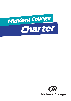

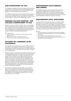# OUR COMMITMENT TO YOU

The College is pledged to provide all students with equality of opportunity and embraces its statutory obligations to guarantee an environment which is free of racial, sexual, religious, cultural and physical discrimination.

The College staff will treat all its students with respect and in return the College expects each student to participate actively and positively in their learning and to respect their fellow students, staff and the College environment.

#### MIDKENT COLLEGE CHARTER - THE COLLEGE'S COMMITMENT TO YOU

Whether you are a student, a parent, carer or an employer, we aim to provide you with a quality service which meets your individual needs. We want every learner to achieve their potential and to be successful. We will work with you to set challenging and engaging learning programmes of study so that you achieve your qualification.

This Charter will:

- > Inform you of the standards of the service you can expect from us
- Inform you of what we expect from you
- > Inform you of what to do if things go wrong

# WE WANT ALL LEARNERS TO BE **SUCCESSFUL**

The College works continuously to raise standards and the aspirations of all students. We make sure students make good progress towards their goals such as higher education or into employment so that they find their time at College rich and rewarding.

MidKent College is committed to providing a supportive and challenging educational environment in which all members of its diverse community can realise their potential. The needs of the students are our highest priority and the College seeks to continuously improve the quality of its courses and services to students. The College will strive to ensure academic and personal progress and the wellbeing of all students through the delivery of outstanding learning, functional and work skills, personal development and equal opportunities. The College will also work with outside organisations to integrate care and education to enhance learning and support.

We will provide a highly relevant range of courses that gives all our students clear progression opportunities to higher level programmes or into the world of employment. The College will work with schools, employers and other local agencies to encourage participation and to create opportunity for our students.

# PARTNERSHIP WITH PARENTS AND CARERS

The College recognises the very important partnership between the College staff and parents and carers in supporting students. One of the most important things for students is that they are supported and encouraged throughout their learning, therefore the College will provide regular feedback to parents throughout the year.

# PARTNERSHIP WITH EMPLOYERS

Employees have many informal contacts with the College and these are encouraged. Employers are represented formally as Governors on the College's Corporation. Many of the curriculum areas also have links with employers with a close working knowledge of the vocational areas involved. If you are an employer and make use of the College, you are a customer and can expect to be treated as such.

We aim:

- > To offer employers and their staff accessible, flexible, high quality training programmes which are designed to suit them
- To contribute to the development of the local community by improving the skills of the workforce to the benefit of local employers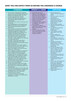### WHAT YOU CAN EXPECT FROM US BEFORE YOU COMMENCE A COURSE

#### *STUDENTS*

- > we will ensure all potential students have access to independent advice and guidance to help you select the right course at the right level for you
- > we will safeguard your welfare, promote your personal development, and maintain high standards and expectations.
- > we will work you hard to ensure you are successful
- > acknowledgement of all enquiries and applications within five working days
- > free and impartial guidance onto a programme
- > free, accurate and impartial information and guidance through our prospectus, individual programme leaflets, the College's website www.midkent.ac.uk
- > through the College's Advice and Guidance advisers which will tell you:
- what grades or other requirements you have to meet to gain entry to a particular study programme or offer you a suitable alternative
- > the type of teaching, assessment methods, arrangements for other learning and for work placements where these are relevant
- > about progression and career options which arise from each course about the structure and aims of the course
- > about the College's interview process where this is necessary
- > how to request an impartial, supportive and confidential guidance interview with a member of our Educational Guidance Service, normally within ten working days of receiving your request
- > a fair and thorough interview for all applicants to full time courses (also available to part time applicants upon request) where you are able to:
- > tour around the College and its facilities
- > discuss your learning plans
- > receive information about the results and destinations of previous students
- > the results of your interview within ten working days
- accurate information on course fees and costs for each programme, including any arrangements for reduced charges
- > information about the sources of financial help on request
- an offer of a place on a suitable programme or referral to an alternative institution or course.

#### *PARENT or CARER*

- > good impartial advice
- > details of the programmes offered by the College and referral to other providers where we feel we unable to match the students needs
- > details of the College's parents evenings
- > arrangements for updating on progress, attendance and behaviour
- > to be asked to sign an agreement with the College about supporting the student
- > details of the parent and carer information available on-line through the College's website.

#### *EMPLOYER*

- > flexible approach to delivery to meet employers needs
- > the level, content and price of the course
- > identification of contribution towards business aims and what really influences staff performance
- > training needs analysis
- > design of bespoke business solutions
- > accreditation of existing suitable in-house programmes
- $\overline{\phantom{a}}$  a risk analysis of tasks undertaken in the work place
- > provide feedback to telephone enquiries within 48 hours.
- > acknowledge e-mails and written enquiries within 48 hours.
- > arrange an interview or organisational needs analysis with our Training Consultant where appropriate.
- > Provide full detail of the ways in which the course can be studied, e.g. fulltime, part-time, flexible learning, work based assessment.
- > Comprehensive content of courses and how they will be assessed.
- > Supply full detail of entry requirements for each course.
- > Course costs and when/how to pay. This will include information regarding any additional financial or funding opportunities that may be available to your organisation.
- > Advice and guidance on progression.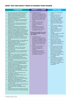# WHAT YOU CAN EXPECT FROM US DURING YOUR COURSE

### *STUDENTS*

- > we will provide teaching that promotes learning, addresses your individual needs and includes regular, accurate and fair assessment the planning and monitoring of your personal and academic development
- > support to ensure you attend regularly and remain on target to achieve your qualification
- > help from us to overcome obstacles to the successful achievement of your qualification
- > a course handbook which details the methods of teaching and assessment and what you can expect to learn
- > a course calendar which will include key dates and the frequency of assessment
- > well planned challenging lessons and effective management of your learning
- > a variety of teaching methods, including the continuous development of innovative techniques, suitable for the qualification and your own individual needs
- > the early identification of any additional learning support needs and help in addressing those needs
- > qualified, committed and experienced staff supported by on-going staff development
- > lessons which start on time and are cancelled only in very exceptional circumstances
- > high expectations of your performance and application to your studies at all times
- > your work to be marked and returned within 15 working days, if handed in on time (or a good reason given)
- > constructive feedback which informs you how you are progressing and how to improve
- > a chance to express your opinions about the course and the College through student surveys and through elected student representatives
- > the promotion of independent research through resources that enable you to broaden your knowledge and enables you to study independently
- > the promotion of e-learning, functional and work skills
- > to have your views listened to and considered positively
- > your rights and responsibilities to be explained to you
- > enrichment activities to help you develop and enjoy your time at College
- supportive, well thought out partnerships with schools to enable alternative progression routes for all 14 – 19 year olds
- > effective Child Protection arrangements that are reviewed annually
- > extra support for vulnerable young people
- > a good range of well structured courses at all levels which are reviewed annually

# *PARENT or CARER*

- > full details of the programme being studied by your son/daughter/ward, including a timetable, a year plan and the name of their Personal Tutor within four weeks of the start of the course
- > access to the Personal Tutor to discuss the students' progress, on request
- > arrangements to inform parents and employers of progress e.g. Parents/ employers evenings.

#### **If you are a parent or a carer of a student under 18, you can expect:**

- > full details of the programme being studied by your son/daughter/ward, including a timetable, a year plan and the name of their Personal Tutor within four weeks of the start of the course
- > access to the Personal Tutor to discuss the students progress, on request
- > arrangements to inform parents and employers of progress e.g. Parents/ employers evenings.

### *EMPLOYER*

- > attendance and progress reports
- > to be invited into the College to see the resources and to discuss the students progress if they study at College
- > regular feedback in the workplace following each review and assessment visit
- > to be asked to assign a mentor to each trainee in the workplace
- > regular updates on any element of the course which takes place at College
- > respond to enquiries within 2 working days
- > give you a named contact who will act as your main point of contact
- > give you information about course content, qualifications and funding
- > provide well qualified, professional, experienced staff
- > give you the information you need before, during and after the course. We will give you and your staff information packs, full induction programmes, regular contact about progression, opportunities for feedback and evaluation
- > we will give you and your staff information packs, full induction programmes, regular contact about progression, opportunities for feedback and evaluation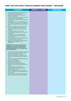# WHAT YOU CAN EXPECT FROM US DURING YOUR COURSE - *CONTINUED*

| <b>STUDENTS</b>                                                                                                                                                                                                                                                                                                                                                                                                                                                                                                                                                                                                                                                                                                                                                                                                                                                                                                                                                                                                                                                                                                                                                                                                                                                                                                                                                                                                                                                                                                                                                                                                                                                                                                                                                                                                                                                            | <b>PARENT or CARER</b> | <b>EMPLOYER</b> |
|----------------------------------------------------------------------------------------------------------------------------------------------------------------------------------------------------------------------------------------------------------------------------------------------------------------------------------------------------------------------------------------------------------------------------------------------------------------------------------------------------------------------------------------------------------------------------------------------------------------------------------------------------------------------------------------------------------------------------------------------------------------------------------------------------------------------------------------------------------------------------------------------------------------------------------------------------------------------------------------------------------------------------------------------------------------------------------------------------------------------------------------------------------------------------------------------------------------------------------------------------------------------------------------------------------------------------------------------------------------------------------------------------------------------------------------------------------------------------------------------------------------------------------------------------------------------------------------------------------------------------------------------------------------------------------------------------------------------------------------------------------------------------------------------------------------------------------------------------------------------------|------------------------|-----------------|
| > to gain qualifications that develop you<br>personally and academically<br>> time and resources to enable you to<br>work independently<br>> a safe environment that promotes the<br>wellbeing of all young people<br>> we will work you hard to ensure you are<br>successful<br>> a Student Planner containing details of<br>the College's support services, facilities<br>and what is expected of you within ten<br>days<br>> an ID card will give you access to the<br>Library and Information Centres and<br>the learning resources and Computer<br>facilities<br>> an induction into the use of the<br>Learning and Resources Centre within<br>four weeks<br>> a diagnostic test in literacy and/or<br>numeracy to assess your needs (full<br>time students)<br>> a comprehensive induction programme<br>to help you settle in quickly<br>> agreed learning support and individual<br>guidance at all stages of your<br>programme.<br>All full-time 16-18 year old full time<br>students will receive the guidance of<br>a dedicated Personal Tutor for your<br>whole programme, who in liaison with<br>teaching staff, will:<br>> provide a learning programme which has<br>been planned with you within seven<br>weeks of starting your course<br>> assess and review your progress and<br>record your achievements four times a<br>year<br>> set and monitor challenging targets and<br>record your progress<br>> monitor your attendance<br>> help you study effectively<br>> provide group tutorials to develop<br>personal and social skills for one hour a<br>week<br>> provide advice on progression<br>opportunities and how you apply for<br>jobs or further study<br>> make available enrichment activities<br>which contribute to your enjoyment and<br>achievement<br>> give access to support from counsellors<br>and educational and careers guidance. |                        |                 |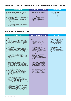# WHAT YOU CAN EXPECT FROM US AT THE COMPLETION OF YOUR COURSE

#### > results as soon as they are available > a progression discussion to plan your next steps advice about employment options > support in making UCAS applications to universities *STUDENTS* > certification and accreditation > advice on progression and top up training *EMPLOYER* > feedback on the students outcomes > advice and guidance on the next steps > progression opportunities for the student *PARENT or CARER*

achievement

WHAT WE EXPECT FROM YOU

*STUDENTS*

a reference about your time with the

> certification of successful completion of

> a review of the course and its overall

#### Stay Safe

College

success

qualifications

- students will, at all times, have their identity badges on them and must not loan or borrow others identity badges
- > students will not encourage or help anyone gain entry to the College who is not a member of staff, a fellow student or an authorised visitor
- > students are not permitted into any classrooms or workshops without being accompanied by a member of staff
- food and drink are only permitted to be consumed in designated areas
- > if a students changes address, or employer during their course of study they must inform their tutor as soon as possible

#### Be Healthy

- > the College has a zero tolerance policy to: drugs, alcohol, theft, criminal behaviour, bullying – including cyber bullying and to the causing of malicious damage to any College property
- > the College also has a 'No Chewing Gum Policy' on all of its sites
- > the College staff have the right to stop, restrain if necessary and search students they think they may pose a threat to other students or to staff by the carrying of a weapon
- > students must conform to those conventions of adult behaviour accepted by the College in the way they dress and conduct themselves including: wearing uniform, safety clothing required by the area in which they study
- > students should conduct themselves as ambassadors of the College at all times
- > students are to follow the instructions given to them by staff. Signs will sometimes be used to inform students of expected conduct and these are to be observed e.g. 'Quiet Please Exam in Progress'.

#### *PARENT or CARER*

> celebration of students

#### Support for students so that:

- > they attend all of their lessons unless there is a valid reason
- > they are punctual for every lesson
- > students do not take holidays during term time
- > appointments are not organised during timetabled hours e.g. Doctors, Dentists, Driving Tests
- > their assignment/course work is up to date
- they wear appropriate uniform/protective clothing for the course
- > they bring the equipment for the course each day including a pen and paper
- > they attend any additional support classes outside of normal timetable hours deemed necessary by the curriculum team (these can include evenings and Saturday mornings)
- > they comply with the Student Code of Conduct

#### *EMPLOYER*

- > provide a healthy and safe working environment for training on your premises
- > support employees on training programmes
- give us feedback with concerns or comments on our services
- > inform us about changes to staff etc.
- > participate in business forums or advisory groups when possible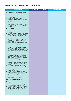# WHAT WE EXPECT FROM YOU - CONTINUED

| <b>STUDENTS</b>                                                                                                                                                                                                                                                                                                                                                                                                                                                                      | <b>PARENT or CARER</b> | <b>EMPLOYER</b> |
|--------------------------------------------------------------------------------------------------------------------------------------------------------------------------------------------------------------------------------------------------------------------------------------------------------------------------------------------------------------------------------------------------------------------------------------------------------------------------------------|------------------------|-----------------|
| > codes of safe working practice are to<br>be followed at all times and students<br>should ensure they are aware of the<br>risk assessments for each lesson in<br>vocational areas<br>> any accidents that occur must be<br>immediately reported to your teacher,<br>tutor or to any member of staff<br>> the College encourages learners not to<br>smoke but where this is necessary it<br>has set aside a smoking area and you<br>may only smoke in this area whilst at<br>College |                        |                 |
| <b>Enjoy and Achieve</b>                                                                                                                                                                                                                                                                                                                                                                                                                                                             |                        |                 |
| > work hard and to be successful in your<br>studies<br>> all students must maintain no less than<br>90% attendance during their first five<br>weeks of study with the College. They<br>must make contact with their area<br>of study on each and every occasion<br>where they are unable to attend for<br>any reason throughout their study                                                                                                                                          |                        |                 |
| programme<br>> course deadlines for the completion of<br>work are to be met and where students<br>encounter a difficulty they must share<br>this with their Tutor                                                                                                                                                                                                                                                                                                                    |                        |                 |
| > students are required to be punctual<br>to all lessons and be suitably prepared<br>and equipped to participate fully in their<br>lessons this includes basic equipment<br>like pens and paper                                                                                                                                                                                                                                                                                      |                        |                 |
| > students are advised that progression<br>from one year to another year at<br>MidKent College is dependent upon:<br>their full application to their learning,<br>their attendance, punctuality and their<br>level of achievement                                                                                                                                                                                                                                                    |                        |                 |
| > students are responsible for the<br>provision of their own books and<br>equipment as identified by the College.<br>They are also responsible for their safe<br>keeping                                                                                                                                                                                                                                                                                                             |                        |                 |
| > where a student uses the Colleges<br>books or other learning resources these<br>are to be respected and the student will<br>be held responsible for their safe return<br>or their replacement                                                                                                                                                                                                                                                                                      |                        |                 |
| > mobile phones are not to be used in<br>lessons and will be confiscated if they<br>cause disruption to other learners                                                                                                                                                                                                                                                                                                                                                               |                        |                 |
| > the use of personal stereo systems e.g.<br>IPod is prohibited in all lessons and in<br>the corridors of the College                                                                                                                                                                                                                                                                                                                                                                |                        |                 |
| <b>Make a positive contribution</b>                                                                                                                                                                                                                                                                                                                                                                                                                                                  |                        |                 |
| > all members of the College community<br>will respect each other regardless of<br>differences in culture, race, ability,<br>gender, age or sexual orientation<br>> students must also respect the property<br>of the College at all times no damage<br>is to be caused to the College or its<br>facilities by a student at any time                                                                                                                                                 |                        |                 |